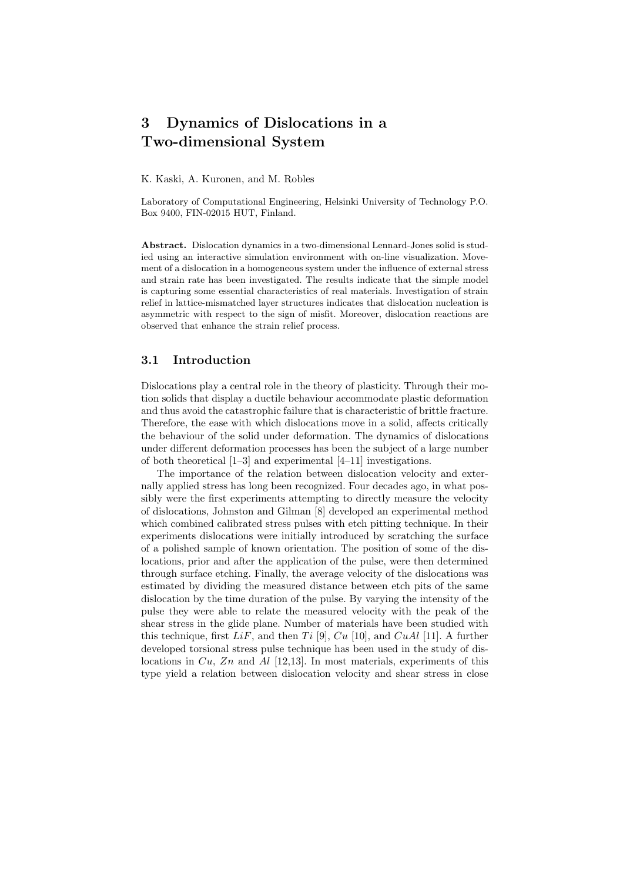# **3 Dynamics of Dislocations in a Two-dimensional System**

K. Kaski, A. Kuronen, and M. Robles

Laboratory of Computational Engineering, Helsinki University of Technology P.O. Box 9400, FIN-02015 HUT, Finland.

**Abstract.** Dislocation dynamics in a two-dimensional Lennard-Jones solid is studied using an interactive simulation environment with on-line visualization. Movement of a dislocation in a homogeneous system under the influence of external stress and strain rate has been investigated. The results indicate that the simple model is capturing some essential characteristics of real materials. Investigation of strain relief in lattice-mismatched layer structures indicates that dislocation nucleation is asymmetric with respect to the sign of misfit. Moreover, dislocation reactions are observed that enhance the strain relief process.

# **3.1 Introduction**

Dislocations play a central role in the theory of plasticity. Through their motion solids that display a ductile behaviour accommodate plastic deformation and thus avoid the catastrophic failure that is characteristic of brittle fracture. Therefore, the ease with which dislocations move in a solid, affects critically the behaviour of the solid under deformation. The dynamics of dislocations under different deformation processes has been the subject of a large number of both theoretical [1–3] and experimental [4–11] investigations.

The importance of the relation between dislocation velocity and externally applied stress has long been recognized. Four decades ago, in what possibly were the first experiments attempting to directly measure the velocity of dislocations, Johnston and Gilman [8] developed an experimental method which combined calibrated stress pulses with etch pitting technique. In their experiments dislocations were initially introduced by scratching the surface of a polished sample of known orientation. The position of some of the dislocations, prior and after the application of the pulse, were then determined through surface etching. Finally, the average velocity of the dislocations was estimated by dividing the measured distance between etch pits of the same dislocation by the time duration of the pulse. By varying the intensity of the pulse they were able to relate the measured velocity with the peak of the shear stress in the glide plane. Number of materials have been studied with this technique, first  $LiF$ , and then  $Ti$  [9],  $Cu$  [10], and  $CuAl$  [11]. A further developed torsional stress pulse technique has been used in the study of dislocations in  $Cu$ ,  $Zn$  and  $Al$  [12,13]. In most materials, experiments of this type yield a relation between dislocation velocity and shear stress in close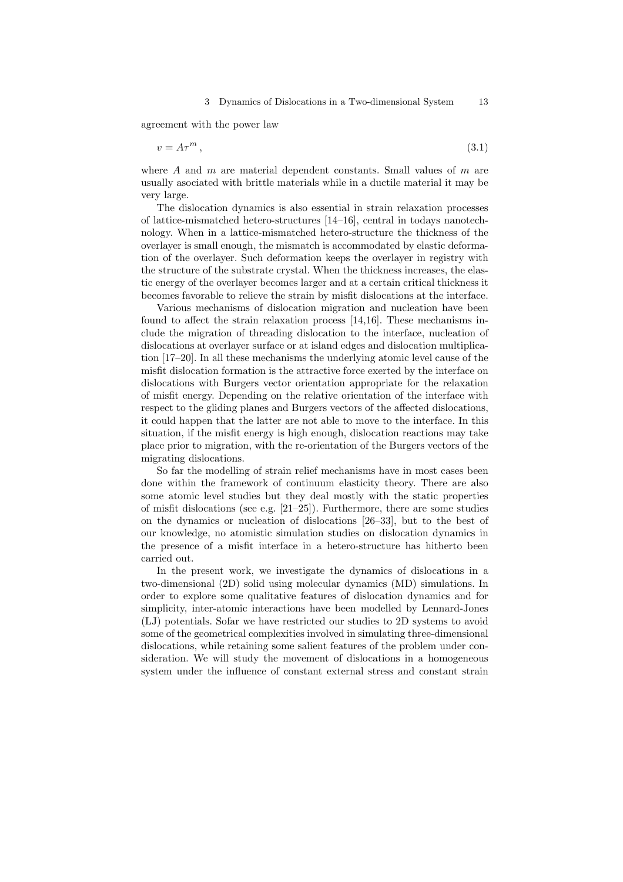agreement with the power law

$$
v = A\tau^m,\tag{3.1}
$$

where A and  $m$  are material dependent constants. Small values of  $m$  are usually asociated with brittle materials while in a ductile material it may be very large.

The dislocation dynamics is also essential in strain relaxation processes of lattice-mismatched hetero-structures [14–16], central in todays nanotechnology. When in a lattice-mismatched hetero-structure the thickness of the overlayer is small enough, the mismatch is accommodated by elastic deformation of the overlayer. Such deformation keeps the overlayer in registry with the structure of the substrate crystal. When the thickness increases, the elastic energy of the overlayer becomes larger and at a certain critical thickness it becomes favorable to relieve the strain by misfit dislocations at the interface.

Various mechanisms of dislocation migration and nucleation have been found to affect the strain relaxation process [14,16]. These mechanisms include the migration of threading dislocation to the interface, nucleation of dislocations at overlayer surface or at island edges and dislocation multiplication [17–20]. In all these mechanisms the underlying atomic level cause of the misfit dislocation formation is the attractive force exerted by the interface on dislocations with Burgers vector orientation appropriate for the relaxation of misfit energy. Depending on the relative orientation of the interface with respect to the gliding planes and Burgers vectors of the affected dislocations, it could happen that the latter are not able to move to the interface. In this situation, if the misfit energy is high enough, dislocation reactions may take place prior to migration, with the re-orientation of the Burgers vectors of the migrating dislocations.

So far the modelling of strain relief mechanisms have in most cases been done within the framework of continuum elasticity theory. There are also some atomic level studies but they deal mostly with the static properties of misfit dislocations (see e.g.  $[21-25]$ ). Furthermore, there are some studies on the dynamics or nucleation of dislocations [26–33], but to the best of our knowledge, no atomistic simulation studies on dislocation dynamics in the presence of a misfit interface in a hetero-structure has hitherto been carried out.

In the present work, we investigate the dynamics of dislocations in a two-dimensional (2D) solid using molecular dynamics (MD) simulations. In order to explore some qualitative features of dislocation dynamics and for simplicity, inter-atomic interactions have been modelled by Lennard-Jones (LJ) potentials. Sofar we have restricted our studies to 2D systems to avoid some of the geometrical complexities involved in simulating three-dimensional dislocations, while retaining some salient features of the problem under consideration. We will study the movement of dislocations in a homogeneous system under the influence of constant external stress and constant strain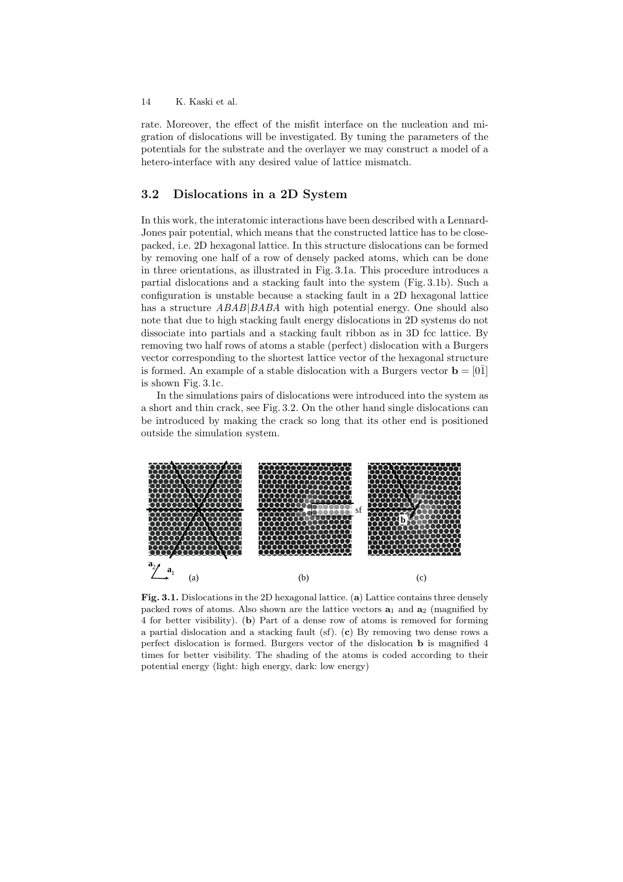rate. Moreover, the effect of the misfit interface on the nucleation and migration of dislocations will be investigated. By tuning the parameters of the potentials for the substrate and the overlayer we may construct a model of a hetero-interface with any desired value of lattice mismatch.

## **3.2 Dislocations in a 2D System**

In this work, the interatomic interactions have been described with a Lennard-Jones pair potential, which means that the constructed lattice has to be closepacked, i.e. 2D hexagonal lattice. In this structure dislocations can be formed by removing one half of a row of densely packed atoms, which can be done in three orientations, as illustrated in Fig. 3.1a. This procedure introduces a partial dislocations and a stacking fault into the system (Fig. 3.1b). Such a configuration is unstable because a stacking fault in a 2D hexagonal lattice has a structure *ABAB*|*BABA* with high potential energy. One should also note that due to high stacking fault energy dislocations in 2D systems do not dissociate into partials and a stacking fault ribbon as in 3D fcc lattice. By removing two half rows of atoms a stable (perfect) dislocation with a Burgers vector corresponding to the shortest lattice vector of the hexagonal structure is formed. An example of a stable dislocation with a Burgers vector  $\mathbf{b} = [0\overline{1}]$ is shown Fig. 3.1c.

In the simulations pairs of dislocations were introduced into the system as a short and thin crack, see Fig. 3.2. On the other hand single dislocations can be introduced by making the crack so long that its other end is positioned outside the simulation system.



**Fig. 3.1.** Dislocations in the 2D hexagonal lattice. (**a**) Lattice contains three densely packed rows of atoms. Also shown are the lattice vectors  $\mathbf{a}_1$  and  $\mathbf{a}_2$  (magnified by 4 for better visibility). (**b**) Part of a dense row of atoms is removed for forming a partial dislocation and a stacking fault (sf). (**c**) By removing two dense rows a perfect dislocation is formed. Burgers vector of the dislocation **b** is magnified 4 times for better visibility. The shading of the atoms is coded according to their potential energy (light: high energy, dark: low energy)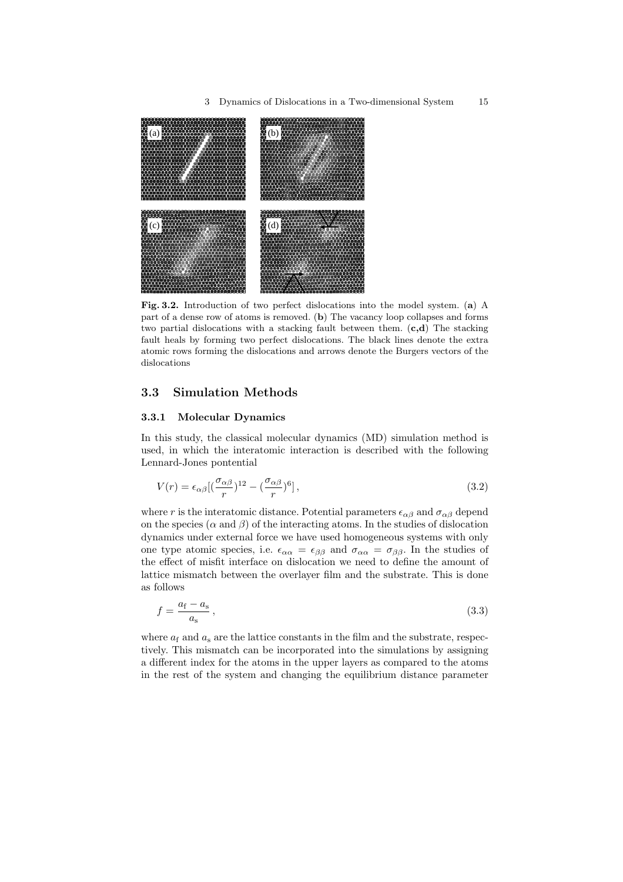

**Fig. 3.2.** Introduction of two perfect dislocations into the model system. (**a**) A part of a dense row of atoms is removed. (**b**) The vacancy loop collapses and forms two partial dislocations with a stacking fault between them. (**c,d**) The stacking fault heals by forming two perfect dislocations. The black lines denote the extra atomic rows forming the dislocations and arrows denote the Burgers vectors of the dislocations

# **3.3 Simulation Methods**

#### **3.3.1 Molecular Dynamics**

In this study, the classical molecular dynamics (MD) simulation method is used, in which the interatomic interaction is described with the following Lennard-Jones pontential

$$
V(r) = \epsilon_{\alpha\beta} [(\frac{\sigma_{\alpha\beta}}{r})^{12} - (\frac{\sigma_{\alpha\beta}}{r})^6],
$$
\n(3.2)

where r is the interatomic distance. Potential parameters  $\epsilon_{\alpha\beta}$  and  $\sigma_{\alpha\beta}$  depend on the species ( $\alpha$  and  $\beta$ ) of the interacting atoms. In the studies of dislocation dynamics under external force we have used homogeneous systems with only one type atomic species, i.e.  $\epsilon_{\alpha\alpha} = \epsilon_{\beta\beta}$  and  $\sigma_{\alpha\alpha} = \sigma_{\beta\beta}$ . In the studies of the effect of misfit interface on dislocation we need to define the amount of lattice mismatch between the overlayer film and the substrate. This is done as follows

$$
f = \frac{a_{\rm f} - a_{\rm s}}{a_{\rm s}},\tag{3.3}
$$

where  $a_f$  and  $a_s$  are the lattice constants in the film and the substrate, respectively. This mismatch can be incorporated into the simulations by assigning a different index for the atoms in the upper layers as compared to the atoms in the rest of the system and changing the equilibrium distance parameter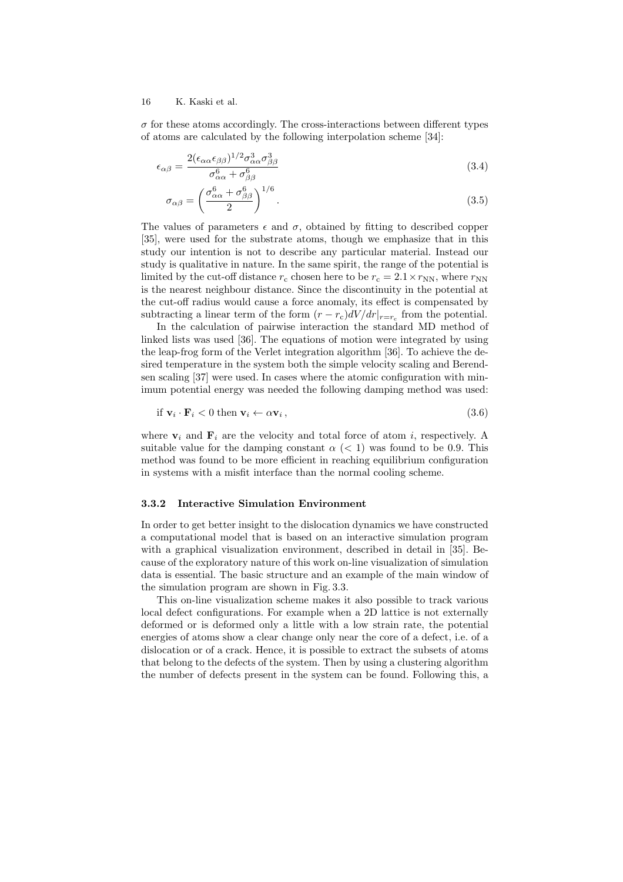$\sigma$  for these atoms accordingly. The cross-interactions between different types of atoms are calculated by the following interpolation scheme [34]:

$$
\epsilon_{\alpha\beta} = \frac{2(\epsilon_{\alpha\alpha}\epsilon_{\beta\beta})^{1/2}\sigma_{\alpha\alpha}^3 \sigma_{\beta\beta}^3}{\sigma_{\alpha\alpha}^6 + \sigma_{\beta\beta}^6}
$$
(3.4)

$$
\sigma_{\alpha\beta} = \left(\frac{\sigma_{\alpha\alpha}^6 + \sigma_{\beta\beta}^6}{2}\right)^{1/6}.\tag{3.5}
$$

The values of parameters  $\epsilon$  and  $\sigma$ , obtained by fitting to described copper [35], were used for the substrate atoms, though we emphasize that in this study our intention is not to describe any particular material. Instead our study is qualitative in nature. In the same spirit, the range of the potential is limited by the cut-off distance  $r_c$  chosen here to be  $r_c = 2.1 \times r_{NN}$ , where  $r_{NN}$ is the nearest neighbour distance. Since the discontinuity in the potential at the cut-off radius would cause a force anomaly, its effect is compensated by subtracting a linear term of the form  $(r - r_c)dV/dr|_{r=r_c}$  from the potential.

In the calculation of pairwise interaction the standard MD method of linked lists was used [36]. The equations of motion were integrated by using the leap-frog form of the Verlet integration algorithm [36]. To achieve the desired temperature in the system both the simple velocity scaling and Berendsen scaling [37] were used. In cases where the atomic configuration with minimum potential energy was needed the following damping method was used:

if 
$$
\mathbf{v}_i \cdot \mathbf{F}_i < 0
$$
 then  $\mathbf{v}_i \leftarrow \alpha \mathbf{v}_i$ , 
$$
(3.6)
$$

where  $\mathbf{v}_i$  and  $\mathbf{F}_i$  are the velocity and total force of atom i, respectively. A suitable value for the damping constant  $\alpha$  (< 1) was found to be 0.9. This method was found to be more efficient in reaching equilibrium configuration in systems with a misfit interface than the normal cooling scheme.

#### **3.3.2 Interactive Simulation Environment**

In order to get better insight to the dislocation dynamics we have constructed a computational model that is based on an interactive simulation program with a graphical visualization environment, described in detail in [35]. Because of the exploratory nature of this work on-line visualization of simulation data is essential. The basic structure and an example of the main window of the simulation program are shown in Fig. 3.3.

This on-line visualization scheme makes it also possible to track various local defect configurations. For example when a 2D lattice is not externally deformed or is deformed only a little with a low strain rate, the potential energies of atoms show a clear change only near the core of a defect, i.e. of a dislocation or of a crack. Hence, it is possible to extract the subsets of atoms that belong to the defects of the system. Then by using a clustering algorithm the number of defects present in the system can be found. Following this, a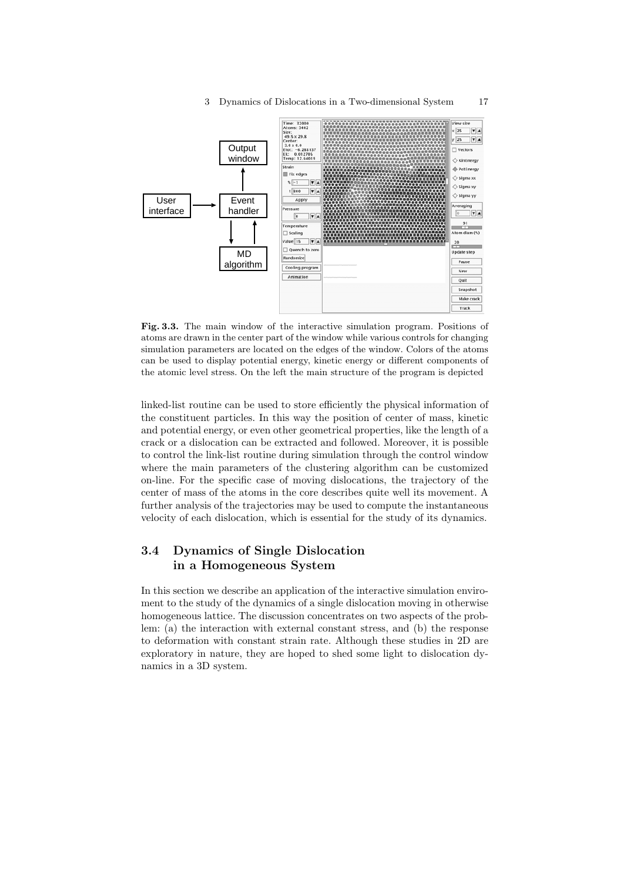

**Fig. 3.3.** The main window of the interactive simulation program. Positions of atoms are drawn in the center part of the window while various controls for changing simulation parameters are located on the edges of the window. Colors of the atoms can be used to display potential energy, kinetic energy or different components of the atomic level stress. On the left the main structure of the program is depicted

linked-list routine can be used to store efficiently the physical information of the constituent particles. In this way the position of center of mass, kinetic and potential energy, or even other geometrical properties, like the length of a crack or a dislocation can be extracted and followed. Moreover, it is possible to control the link-list routine during simulation through the control window where the main parameters of the clustering algorithm can be customized on-line. For the specific case of moving dislocations, the trajectory of the center of mass of the atoms in the core describes quite well its movement. A further analysis of the trajectories may be used to compute the instantaneous velocity of each dislocation, which is essential for the study of its dynamics.

# **3.4 Dynamics of Single Dislocation in a Homogeneous System**

In this section we describe an application of the interactive simulation enviroment to the study of the dynamics of a single dislocation moving in otherwise homogeneous lattice. The discussion concentrates on two aspects of the problem: (a) the interaction with external constant stress, and (b) the response to deformation with constant strain rate. Although these studies in 2D are exploratory in nature, they are hoped to shed some light to dislocation dynamics in a 3D system.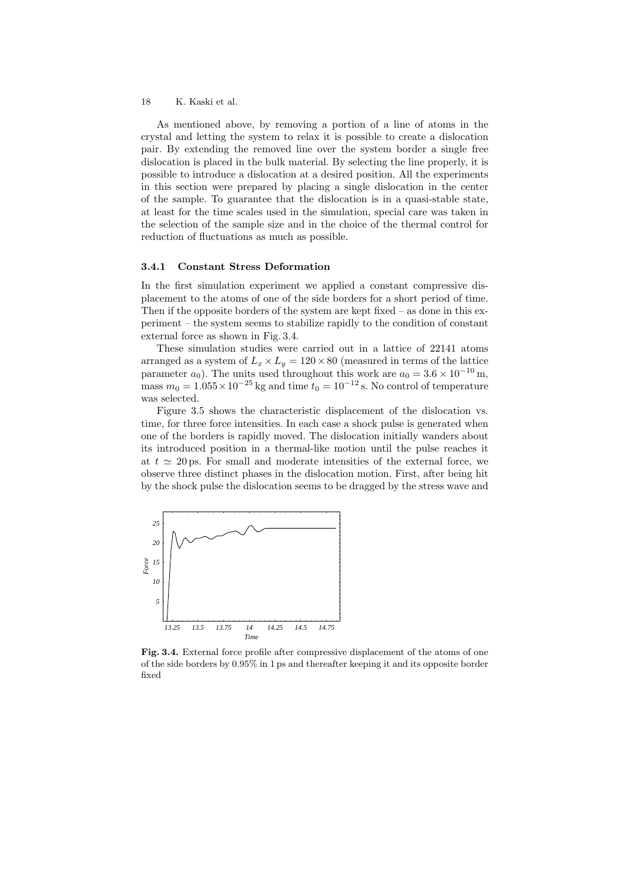As mentioned above, by removing a portion of a line of atoms in the crystal and letting the system to relax it is possible to create a dislocation pair. By extending the removed line over the system border a single free dislocation is placed in the bulk material. By selecting the line properly, it is possible to introduce a dislocation at a desired position. All the experiments in this section were prepared by placing a single dislocation in the center of the sample. To guarantee that the dislocation is in a quasi-stable state, at least for the time scales used in the simulation, special care was taken in the selection of the sample size and in the choice of the thermal control for reduction of fluctuations as much as possible.

#### **3.4.1 Constant Stress Deformation**

In the first simulation experiment we applied a constant compressive displacement to the atoms of one of the side borders for a short period of time. Then if the opposite borders of the system are kept fixed – as done in this experiment – the system seems to stabilize rapidly to the condition of constant external force as shown in Fig. 3.4.

These simulation studies were carried out in a lattice of 22141 atoms arranged as a system of  $L_x \times L_y = 120 \times 80$  (measured in terms of the lattice parameter  $a_0$ ). The units used throughout this work are  $a_0 = 3.6 \times 10^{-10}$  m, mass  $m_0 = 1.055 \times 10^{-25}$  kg and time  $t_0 = 10^{-12}$  s. No control of temperature was selected.

Figure 3.5 shows the characteristic displacement of the dislocation vs. time, for three force intensities. In each case a shock pulse is generated when one of the borders is rapidly moved. The dislocation initially wanders about its introduced position in a thermal-like motion until the pulse reaches it at  $t \simeq 20$  ps. For small and moderate intensities of the external force, we observe three distinct phases in the dislocation motion. First, after being hit by the shock pulse the dislocation seems to be dragged by the stress wave and



**Fig. 3.4.** External force profile after compressive displacement of the atoms of one of the side borders by 0.95% in 1 ps and thereafter keeping it and its opposite border fixed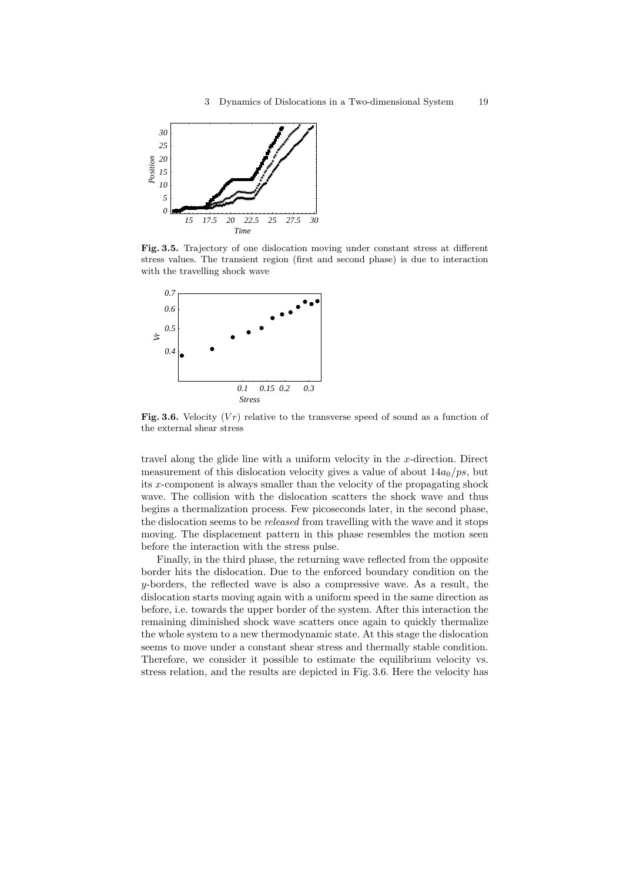

**Fig. 3.5.** Trajectory of one dislocation moving under constant stress at different stress values. The transient region (first and second phase) is due to interaction with the travelling shock wave



**Fig. 3.6.** Velocity  $(Vr)$  relative to the transverse speed of sound as a function of the external shear stress

travel along the glide line with a uniform velocity in the x-direction. Direct measurement of this dislocation velocity gives a value of about  $14a_0/ps$ , but its x-component is always smaller than the velocity of the propagating shock wave. The collision with the dislocation scatters the shock wave and thus begins a thermalization process. Few picoseconds later, in the second phase, the dislocation seems to be *released* from travelling with the wave and it stops moving. The displacement pattern in this phase resembles the motion seen before the interaction with the stress pulse.

Finally, in the third phase, the returning wave reflected from the opposite border hits the dislocation. Due to the enforced boundary condition on the  $y$ -borders, the reflected wave is also a compressive wave. As a result, the dislocation starts moving again with a uniform speed in the same direction as before, i.e. towards the upper border of the system. After this interaction the remaining diminished shock wave scatters once again to quickly thermalize the whole system to a new thermodynamic state. At this stage the dislocation seems to move under a constant shear stress and thermally stable condition. Therefore, we consider it possible to estimate the equilibrium velocity vs. stress relation, and the results are depicted in Fig. 3.6. Here the velocity has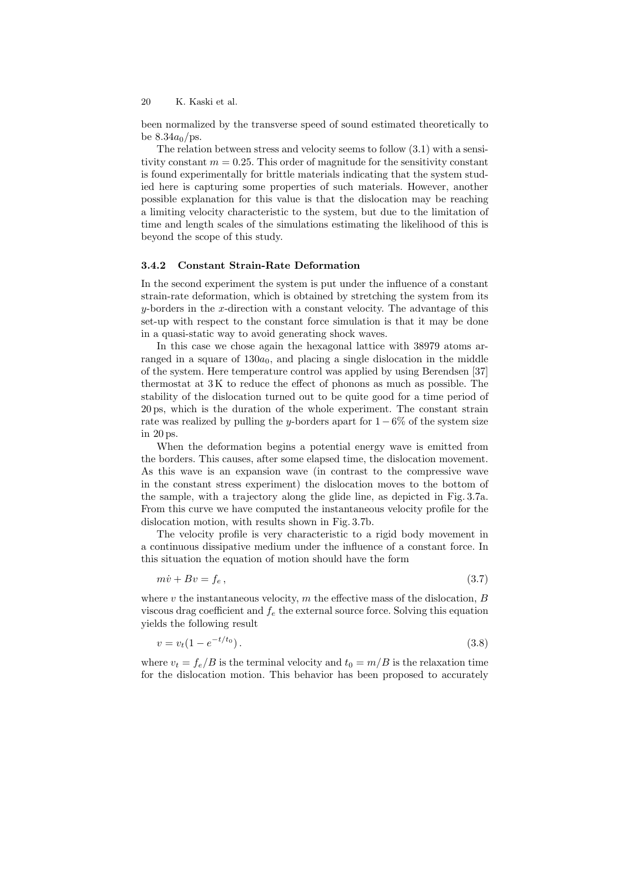been normalized by the transverse speed of sound estimated theoretically to be  $8.34a_0$ /ps.

The relation between stress and velocity seems to follow (3.1) with a sensitivity constant  $m = 0.25$ . This order of magnitude for the sensitivity constant is found experimentally for brittle materials indicating that the system studied here is capturing some properties of such materials. However, another possible explanation for this value is that the dislocation may be reaching a limiting velocity characteristic to the system, but due to the limitation of time and length scales of the simulations estimating the likelihood of this is beyond the scope of this study.

#### **3.4.2 Constant Strain-Rate Deformation**

In the second experiment the system is put under the influence of a constant strain-rate deformation, which is obtained by stretching the system from its y-borders in the x-direction with a constant velocity. The advantage of this set-up with respect to the constant force simulation is that it may be done in a quasi-static way to avoid generating shock waves.

In this case we chose again the hexagonal lattice with 38979 atoms arranged in a square of  $130a_0$ , and placing a single dislocation in the middle of the system. Here temperature control was applied by using Berendsen [37] thermostat at  $3K$  to reduce the effect of phonons as much as possible. The stability of the dislocation turned out to be quite good for a time period of 20 ps, which is the duration of the whole experiment. The constant strain rate was realized by pulling the y-borders apart for  $1-6\%$  of the system size in 20 ps.

When the deformation begins a potential energy wave is emitted from the borders. This causes, after some elapsed time, the dislocation movement. As this wave is an expansion wave (in contrast to the compressive wave in the constant stress experiment) the dislocation moves to the bottom of the sample, with a trajectory along the glide line, as depicted in Fig. 3.7a. From this curve we have computed the instantaneous velocity profile for the dislocation motion, with results shown in Fig. 3.7b.

The velocity profile is very characteristic to a rigid body movement in a continuous dissipative medium under the influence of a constant force. In this situation the equation of motion should have the form

$$
m\dot{v} + Bv = f_e, \qquad (3.7)
$$

where  $v$  the instantaneous velocity,  $m$  the effective mass of the dislocation,  $B$ viscous drag coefficient and  $f_e$  the external source force. Solving this equation yields the following result

$$
v = v_t (1 - e^{-t/t_0}). \tag{3.8}
$$

where  $v_t = f_e/B$  is the terminal velocity and  $t_0 = m/B$  is the relaxation time for the dislocation motion. This behavior has been proposed to accurately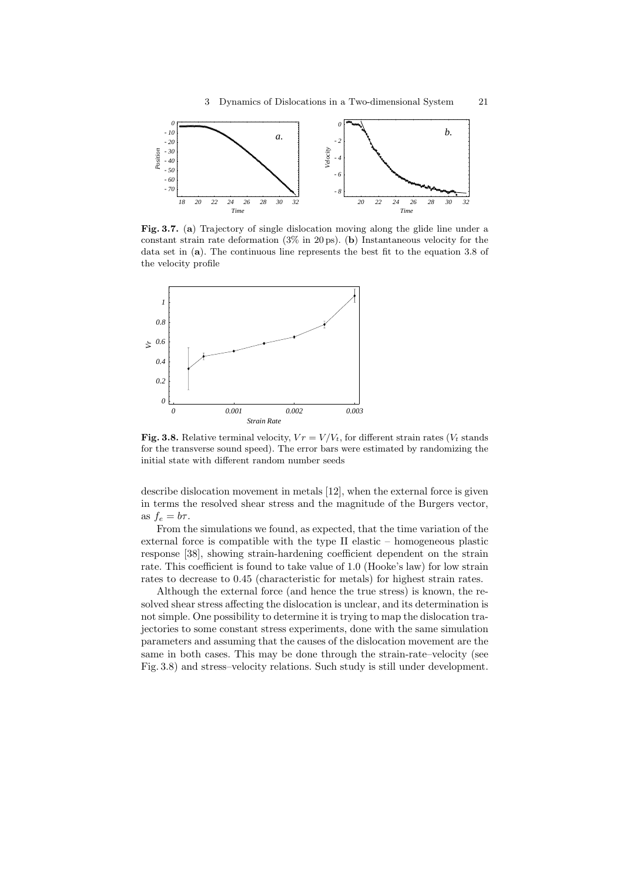

**Fig. 3.7.** (**a**) Trajectory of single dislocation moving along the glide line under a constant strain rate deformation (3% in 20 ps). (**b**) Instantaneous velocity for the data set in (**a**). The continuous line represents the best fit to the equation 3.8 of the velocity profile



**Fig. 3.8.** Relative terminal velocity,  $Vr = V/V_t$ , for different strain rates ( $V_t$  stands for the transverse sound speed). The error bars were estimated by randomizing the initial state with different random number seeds

describe dislocation movement in metals [12], when the external force is given in terms the resolved shear stress and the magnitude of the Burgers vector, as  $f_e = b\tau$ .

From the simulations we found, as expected, that the time variation of the external force is compatible with the type II elastic – homogeneous plastic response [38], showing strain-hardening coefficient dependent on the strain rate. This coefficient is found to take value of 1.0 (Hooke's law) for low strain rates to decrease to 0.45 (characteristic for metals) for highest strain rates.

Although the external force (and hence the true stress) is known, the resolved shear stress affecting the dislocation is unclear, and its determination is not simple. One possibility to determine it is trying to map the dislocation trajectories to some constant stress experiments, done with the same simulation parameters and assuming that the causes of the dislocation movement are the same in both cases. This may be done through the strain-rate–velocity (see Fig. 3.8) and stress–velocity relations. Such study is still under development.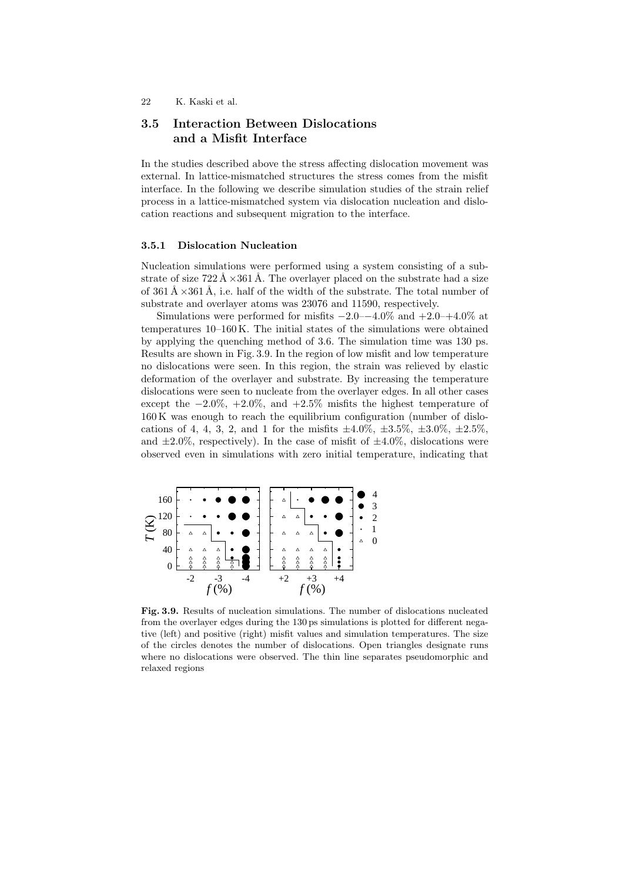# **3.5 Interaction Between Dislocations and a Misfit Interface**

In the studies described above the stress affecting dislocation movement was external. In lattice-mismatched structures the stress comes from the misfit interface. In the following we describe simulation studies of the strain relief process in a lattice-mismatched system via dislocation nucleation and dislocation reactions and subsequent migration to the interface.

### **3.5.1 Dislocation Nucleation**

Nucleation simulations were performed using a system consisting of a substrate of size  $722 \text{ Å} \times 361 \text{ Å}$ . The overlayer placed on the substrate had a size of  $361 \text{\AA} \times 361 \text{\AA}$ , i.e. half of the width of the substrate. The total number of substrate and overlayer atoms was 23076 and 11590, respectively.

Simulations were performed for misfits  $-2.0-4.0\%$  and  $+2.0-4.0\%$  at temperatures 10–160 K. The initial states of the simulations were obtained by applying the quenching method of 3.6. The simulation time was 130 ps. Results are shown in Fig. 3.9. In the region of low misfit and low temperature no dislocations were seen. In this region, the strain was relieved by elastic deformation of the overlayer and substrate. By increasing the temperature dislocations were seen to nucleate from the overlayer edges. In all other cases except the  $-2.0\%$ ,  $+2.0\%$ , and  $+2.5\%$  misfits the highest temperature of 160 K was enough to reach the equilibrium configuration (number of dislocations of 4, 4, 3, 2, and 1 for the misfits  $\pm 4.0\%$ ,  $\pm 3.5\%$ ,  $\pm 3.0\%$ ,  $\pm 2.5\%$ , and  $\pm 2.0\%$ , respectively). In the case of misfit of  $\pm 4.0\%$ , dislocations were observed even in simulations with zero initial temperature, indicating that



**Fig. 3.9.** Results of nucleation simulations. The number of dislocations nucleated from the overlayer edges during the 130 ps simulations is plotted for different negative (left) and positive (right) misfit values and simulation temperatures. The size of the circles denotes the number of dislocations. Open triangles designate runs where no dislocations were observed. The thin line separates pseudomorphic and relaxed regions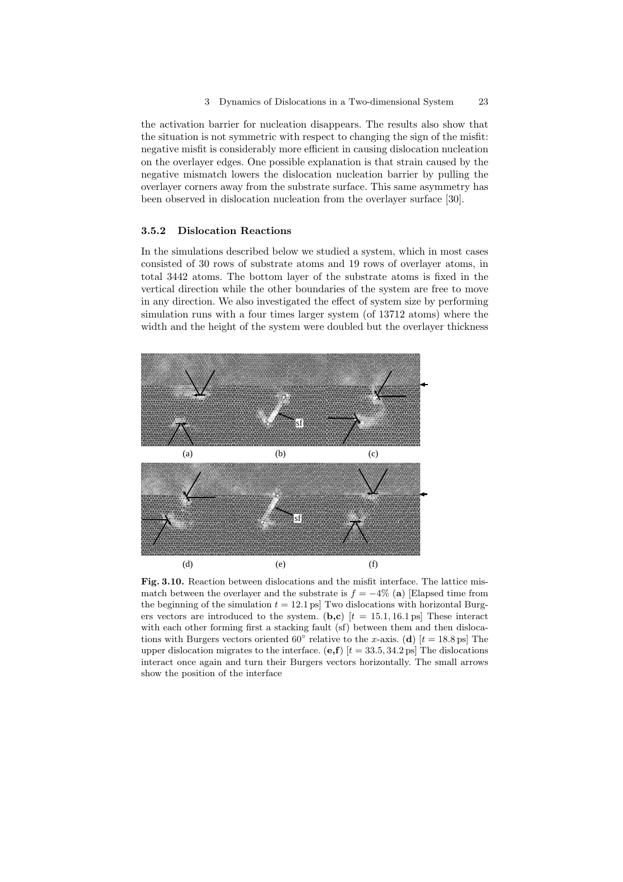the activation barrier for nucleation disappears. The results also show that the situation is not symmetric with respect to changing the sign of the misfit: negative misfit is considerably more efficient in causing dislocation nucleation on the overlayer edges. One possible explanation is that strain caused by the negative mismatch lowers the dislocation nucleation barrier by pulling the overlayer corners away from the substrate surface. This same asymmetry has been observed in dislocation nucleation from the overlayer surface [30].

#### **3.5.2 Dislocation Reactions**

In the simulations described below we studied a system, which in most cases consisted of 30 rows of substrate atoms and 19 rows of overlayer atoms, in total 3442 atoms. The bottom layer of the substrate atoms is fixed in the vertical direction while the other boundaries of the system are free to move in any direction. We also investigated the effect of system size by performing simulation runs with a four times larger system (of 13712 atoms) where the width and the height of the system were doubled but the overlayer thickness



**Fig. 3.10.** Reaction between dislocations and the misfit interface. The lattice mismatch between the overlayer and the substrate is  $f = -4\%$  (a) [Elapsed time from the beginning of the simulation  $t = 12.1$  ps] Two dislocations with horizontal Burgers vectors are introduced to the system.  $(b, c)$   $[t = 15.1, 16.1 \text{ ps}]$  These interact with each other forming first a stacking fault (sf) between them and then dislocations with Burgers vectors oriented  $60°$  relative to the x-axis. (**d**)  $[t = 18.8 \text{ ps}]$  The upper dislocation migrates to the interface.  $(e, f)$   $[t = 33.5, 34.2 \text{ ps}]$  The dislocations interact once again and turn their Burgers vectors horizontally. The small arrows show the position of the interface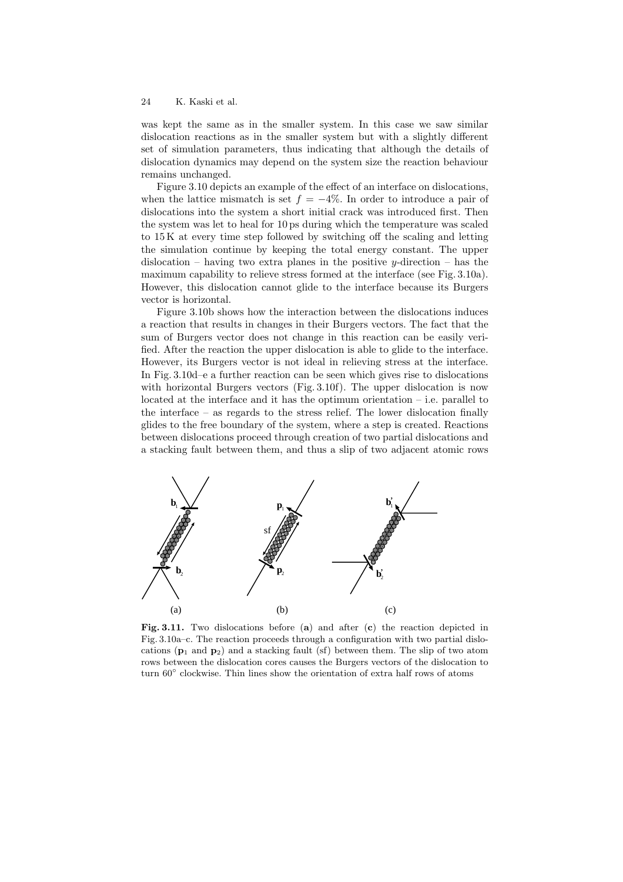was kept the same as in the smaller system. In this case we saw similar dislocation reactions as in the smaller system but with a slightly different set of simulation parameters, thus indicating that although the details of dislocation dynamics may depend on the system size the reaction behaviour remains unchanged.

Figure 3.10 depicts an example of the effect of an interface on dislocations, when the lattice mismatch is set  $f = -4\%$ . In order to introduce a pair of dislocations into the system a short initial crack was introduced first. Then the system was let to heal for 10 ps during which the temperature was scaled to 15 K at every time step followed by switching off the scaling and letting the simulation continue by keeping the total energy constant. The upper dislocation – having two extra planes in the positive y-direction – has the maximum capability to relieve stress formed at the interface (see Fig. 3.10a). However, this dislocation cannot glide to the interface because its Burgers vector is horizontal.

Figure 3.10b shows how the interaction between the dislocations induces a reaction that results in changes in their Burgers vectors. The fact that the sum of Burgers vector does not change in this reaction can be easily verified. After the reaction the upper dislocation is able to glide to the interface. However, its Burgers vector is not ideal in relieving stress at the interface. In Fig. 3.10d–e a further reaction can be seen which gives rise to dislocations with horizontal Burgers vectors (Fig. 3.10f). The upper dislocation is now located at the interface and it has the optimum orientation  $-$  i.e. parallel to the interface – as regards to the stress relief. The lower dislocation finally glides to the free boundary of the system, where a step is created. Reactions between dislocations proceed through creation of two partial dislocations and a stacking fault between them, and thus a slip of two adjacent atomic rows



**Fig. 3.11.** Two dislocations before (**a**) and after (**c**) the reaction depicted in Fig. 3.10a–c. The reaction proceeds through a configuration with two partial dislocations  $(\mathbf{p}_1 \text{ and } \mathbf{p}_2)$  and a stacking fault (sf) between them. The slip of two atom rows between the dislocation cores causes the Burgers vectors of the dislocation to turn 60◦ clockwise. Thin lines show the orientation of extra half rows of atoms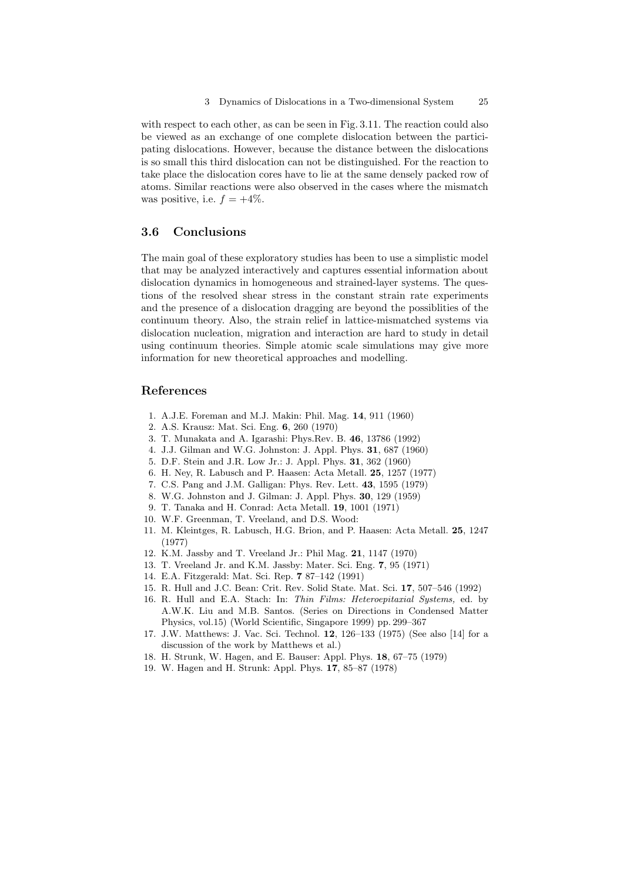with respect to each other, as can be seen in Fig. 3.11. The reaction could also be viewed as an exchange of one complete dislocation between the participating dislocations. However, because the distance between the dislocations is so small this third dislocation can not be distinguished. For the reaction to take place the dislocation cores have to lie at the same densely packed row of atoms. Similar reactions were also observed in the cases where the mismatch was positive, i.e.  $f = +4\%$ .

# **3.6 Conclusions**

The main goal of these exploratory studies has been to use a simplistic model that may be analyzed interactively and captures essential information about dislocation dynamics in homogeneous and strained-layer systems. The questions of the resolved shear stress in the constant strain rate experiments and the presence of a dislocation dragging are beyond the possiblities of the continuum theory. Also, the strain relief in lattice-mismatched systems via dislocation nucleation, migration and interaction are hard to study in detail using continuum theories. Simple atomic scale simulations may give more information for new theoretical approaches and modelling.

### **References**

- 1. A.J.E. Foreman and M.J. Makin: Phil. Mag. **14**, 911 (1960)
- 2. A.S. Krausz: Mat. Sci. Eng. **6**, 260 (1970)
- 3. T. Munakata and A. Igarashi: Phys.Rev. B. **46**, 13786 (1992)
- 4. J.J. Gilman and W.G. Johnston: J. Appl. Phys. **31**, 687 (1960)
- 5. D.F. Stein and J.R. Low Jr.: J. Appl. Phys. **31**, 362 (1960)
- 6. H. Ney, R. Labusch and P. Haasen: Acta Metall. **25**, 1257 (1977)
- 7. C.S. Pang and J.M. Galligan: Phys. Rev. Lett. **43**, 1595 (1979)
- 8. W.G. Johnston and J. Gilman: J. Appl. Phys. **30**, 129 (1959)
- 9. T. Tanaka and H. Conrad: Acta Metall. **19**, 1001 (1971)
- 10. W.F. Greenman, T. Vreeland, and D.S. Wood:
- 11. M. Kleintges, R. Labusch, H.G. Brion, and P. Haasen: Acta Metall. **25**, 1247 (1977)
- 12. K.M. Jassby and T. Vreeland Jr.: Phil Mag. **21**, 1147 (1970)
- 13. T. Vreeland Jr. and K.M. Jassby: Mater. Sci. Eng. **7**, 95 (1971)
- 14. E.A. Fitzgerald: Mat. Sci. Rep. **7** 87–142 (1991)
- 15. R. Hull and J.C. Bean: Crit. Rev. Solid State. Mat. Sci. **17**, 507–546 (1992)
- 16. R. Hull and E.A. Stach: In: Thin Films: Heteroepitaxial Systems, ed. by A.W.K. Liu and M.B. Santos. (Series on Directions in Condensed Matter Physics, vol.15) (World Scientific, Singapore 1999) pp. 299–367
- 17. J.W. Matthews: J. Vac. Sci. Technol. **12**, 126–133 (1975) (See also [14] for a discussion of the work by Matthews et al.)
- 18. H. Strunk, W. Hagen, and E. Bauser: Appl. Phys. **18**, 67–75 (1979)
- 19. W. Hagen and H. Strunk: Appl. Phys. **17**, 85–87 (1978)